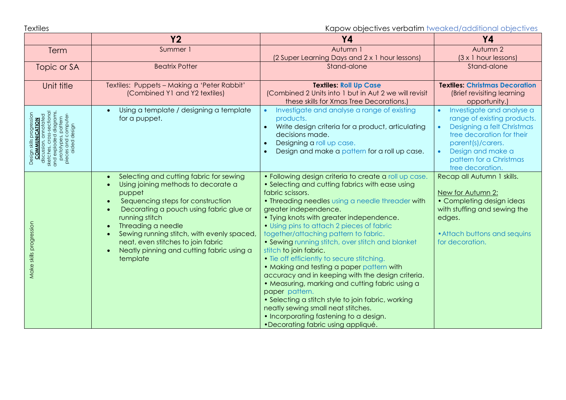Textiles **Textiles** External objectives verbatim tweaked/additional objectives

|                                                                                                                                                                                                     | <b>Y2</b>                                                                                                                                                                                                                                                                                                                                                                                            | <b>Y4</b>                                                                                                                                                                                                                                                                                                                                                                                                                                                                                                                                                                                                                                                                                                                                                                                                                  | <b>Y4</b>                                                                                                                                                                                                                                           |
|-----------------------------------------------------------------------------------------------------------------------------------------------------------------------------------------------------|------------------------------------------------------------------------------------------------------------------------------------------------------------------------------------------------------------------------------------------------------------------------------------------------------------------------------------------------------------------------------------------------------|----------------------------------------------------------------------------------------------------------------------------------------------------------------------------------------------------------------------------------------------------------------------------------------------------------------------------------------------------------------------------------------------------------------------------------------------------------------------------------------------------------------------------------------------------------------------------------------------------------------------------------------------------------------------------------------------------------------------------------------------------------------------------------------------------------------------------|-----------------------------------------------------------------------------------------------------------------------------------------------------------------------------------------------------------------------------------------------------|
| Term                                                                                                                                                                                                | Summer 1                                                                                                                                                                                                                                                                                                                                                                                             | Autumn 1                                                                                                                                                                                                                                                                                                                                                                                                                                                                                                                                                                                                                                                                                                                                                                                                                   | Autumn 2                                                                                                                                                                                                                                            |
|                                                                                                                                                                                                     |                                                                                                                                                                                                                                                                                                                                                                                                      | (2 Super Learning Days and 2 x 1 hour lessons)                                                                                                                                                                                                                                                                                                                                                                                                                                                                                                                                                                                                                                                                                                                                                                             | $(3 \times 1$ hour lessons)                                                                                                                                                                                                                         |
| Topic or SA                                                                                                                                                                                         | <b>Beatrix Potter</b>                                                                                                                                                                                                                                                                                                                                                                                | Stand-alone                                                                                                                                                                                                                                                                                                                                                                                                                                                                                                                                                                                                                                                                                                                                                                                                                | Stand-alone                                                                                                                                                                                                                                         |
| Unit title                                                                                                                                                                                          | Textiles: Puppets - Making a 'Peter Rabbit'<br>(Combined Y1 and Y2 textiles)                                                                                                                                                                                                                                                                                                                         | <b>Textiles: Roll Up Case</b><br>(Combined 2 Units into 1 but in Aut 2 we will revisit<br>these skills for Xmas Tree Decorations.)                                                                                                                                                                                                                                                                                                                                                                                                                                                                                                                                                                                                                                                                                         | <b>Textiles: Christmas Decoration</b><br>(Brief revisiting learning<br>opportunity.)                                                                                                                                                                |
| annotated<br>oss-sectiona<br>diagran<br>pattern<br><b>CATION</b><br>prototypes, patte<br>pieces and compu<br>aided design<br>and exploded<br>COMMU<br>discussion,<br>sketches, cro<br>Design<br>ăp. | Using a template / designing a template<br>$\bullet$<br>for a puppet.                                                                                                                                                                                                                                                                                                                                | Investigate and analyse a range of existing<br>products.<br>Write design criteria for a product, articulating<br>decisions made.<br>Designing a roll up case.<br>Design and make a pattern for a roll up case.                                                                                                                                                                                                                                                                                                                                                                                                                                                                                                                                                                                                             | Investigate and analyse a<br>$\bullet$<br>range of existing products.<br>Designing a felt Christmas<br>$\bullet$<br>tree decoration for their<br>parent(s)/carers.<br>Design and make a<br>$\bullet$<br>pattern for a Christmas<br>tree decoration. |
| Make skills progression                                                                                                                                                                             | Selecting and cutting fabric for sewing<br>$\bullet$<br>Using joining methods to decorate a<br>puppet<br>Sequencing steps for construction<br>$\bullet$<br>Decorating a pouch using fabric glue or<br>running stitch<br>Threading a needle<br>Sewing running stitch, with evenly spaced,<br>neat, even stitches to join fabric<br>Neatly pinning and cutting fabric using a<br>$\bullet$<br>template | • Following design criteria to create a roll up case.<br>• Selecting and cutting fabrics with ease using<br>fabric scissors.<br>• Threading needles using a needle threader with<br>greater independence.<br>• Tying knots with greater independence.<br>• Using pins to attach 2 pieces of fabric<br>together/attaching pattern to fabric.<br>• Sewing running stitch, over stitch and blanket<br>stitch to join fabric.<br>• Tie off efficiently to secure stitching.<br>• Making and testing a paper pattern with<br>accuracy and in keeping with the design criteria.<br>• Measuring, marking and cutting fabric using a<br>paper pattern.<br>• Selecting a stitch style to join fabric, working<br>neatly sewing small neat stitches.<br>• Incorporating fastening to a design.<br>•Decorating fabric using appliqué. | Recap all Autumn 1 skills.<br>New for Autumn 2:<br>• Completing design ideas<br>with stuffing and sewing the<br>edges.<br>• Attach buttons and sequins<br>for decoration.                                                                           |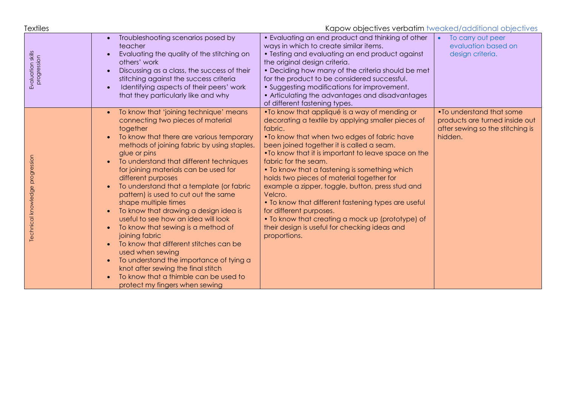| Textiles                         | Kapow objectives verbatim tweaked/additional objectives                                                                                                                                                                                                                                                                                                                                                                                                                                                                                                                                                                                                                                                                                                                                    |                                                                                                                                                                                                                                                                                                                                                                                                                                                                                                                                                                                                                                                                 |                                                                                                            |  |  |
|----------------------------------|--------------------------------------------------------------------------------------------------------------------------------------------------------------------------------------------------------------------------------------------------------------------------------------------------------------------------------------------------------------------------------------------------------------------------------------------------------------------------------------------------------------------------------------------------------------------------------------------------------------------------------------------------------------------------------------------------------------------------------------------------------------------------------------------|-----------------------------------------------------------------------------------------------------------------------------------------------------------------------------------------------------------------------------------------------------------------------------------------------------------------------------------------------------------------------------------------------------------------------------------------------------------------------------------------------------------------------------------------------------------------------------------------------------------------------------------------------------------------|------------------------------------------------------------------------------------------------------------|--|--|
| Evaluation skills<br>progression | Troubleshooting scenarios posed by<br>teacher<br>Evaluating the quality of the stitching on<br>others' work<br>Discussing as a class, the success of their<br>stitching against the success criteria<br>Identifying aspects of their peers' work<br>that they particularly like and why                                                                                                                                                                                                                                                                                                                                                                                                                                                                                                    | • Evaluating an end product and thinking of other<br>ways in which to create similar items.<br>• Testing and evaluating an end product against<br>the original design criteria.<br>• Deciding how many of the criteria should be met<br>for the product to be considered successful.<br>• Suggesting modifications for improvement.<br>• Articulating the advantages and disadvantages<br>of different fastening types.                                                                                                                                                                                                                                         | To carry out peer<br>$\bullet$<br>evaluation based on<br>design criteria.                                  |  |  |
| Technical knowledge progression  | To know that 'joining technique' means<br>connecting two pieces of material<br>together<br>To know that there are various temporary<br>methods of joining fabric by using staples.<br>glue or pins<br>To understand that different techniques<br>for joining materials can be used for<br>different purposes<br>To understand that a template (or fabric<br>pattern) is used to cut out the same<br>shape multiple times<br>To know that drawing a design idea is<br>useful to see how an idea will look<br>To know that sewing is a method of<br>joining fabric<br>To know that different stitches can be<br>used when sewing<br>To understand the importance of tying a<br>knot after sewing the final stitch<br>To know that a thimble can be used to<br>protect my fingers when sewing | • To know that appliqué is a way of mending or<br>decorating a textile by applying smaller pieces of<br>fabric.<br>. To know that when two edges of fabric have<br>been joined together it is called a seam.<br>•To know that it is important to leave space on the<br>fabric for the seam.<br>• To know that a fastening is something which<br>holds two pieces of material together for<br>example a zipper, toggle, button, press stud and<br>Velcro.<br>• To know that different fastening types are useful<br>for different purposes.<br>• To know that creating a mock up (prototype) of<br>their design is useful for checking ideas and<br>proportions. | • To understand that some<br>products are turned inside out<br>after sewing so the stitching is<br>hidden. |  |  |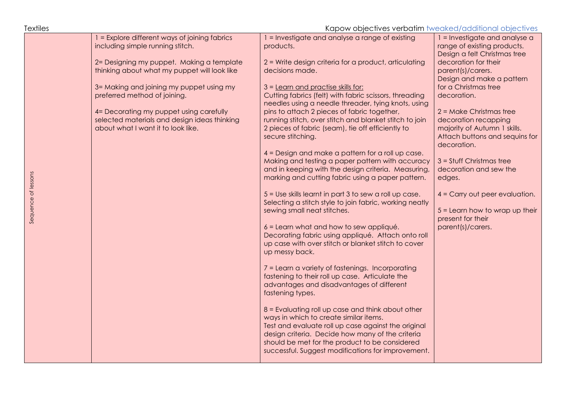Textiles Kapow objectives verbatim tweaked/additional objectives 1 = Explore different ways of joining fabrics 1 = Investigate and analyse a range of existing 1 = Investigate and analyse a including simple running stitch. products. range of existing products. Design a felt Christmas tree 2= Designing my puppet. Making a template 2 = Write design criteria for a product, articulating decoration for their thinking about what my puppet will look like decisions made. parent(s)/carers. Design and make a pattern 3= Making and joining my puppet using my 3 = Learn and practise skills for: for a Christmas tree preferred method of joining. Cutting fabrics (felt) with fabric scissors, threading decoration. needles using a needle threader, tying knots, using 4= Decorating my puppet using carefully pins to attach 2 pieces of fabric together, 2 = Make Christmas tree selected materials and design ideas thinking running stitch, over stitch and blanket stitch to join decoration recapping about what I want it to look like. 2 pieces of fabric (seam), tie off efficiently to majority of Autumn 1 skills. Attach buttons and sequins for secure stitching. decoration. 4 = Design and make a pattern for a roll up case. Making and testing a paper pattern with accuracy  $3 =$ Stuff Christmas tree and in keeping with the design criteria. Measuring, decoration and sew the Sequence of lessons Sequence of lessons marking and cutting fabric using a paper pattern. edges. 5 = Use skills learnt in part 3 to sew a roll up case. 4 = Carry out peer evaluation. Selecting a stitch style to join fabric, working neatly sewing small neat stitches. 5 = Learn how to wrap up their present for their 6 = Learn what and how to sew appliqué. parent(s)/carers.Decorating fabric using appliqué. Attach onto roll up case with over stitch or blanket stitch to cover up messy back. 7 = Learn a variety of fastenings. Incorporating fastening to their roll up case. Articulate the advantages and disadvantages of different fastening types. 8 = Evaluating roll up case and think about other ways in which to create similar items. Test and evaluate roll up case against the original design criteria. Decide how many of the criteria should be met for the product to be considered successful. Suggest modifications for improvement.